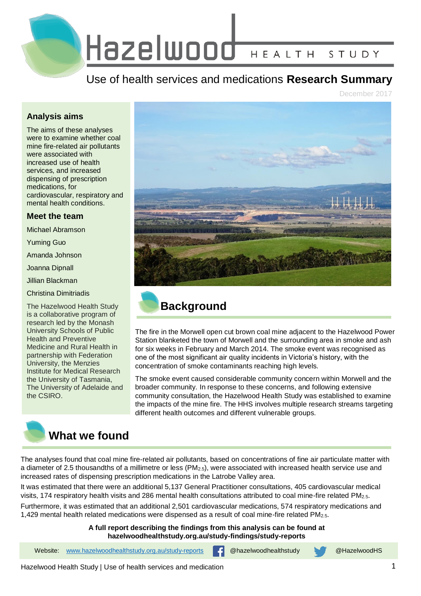

# Use of health services and medications **Research Summary**

September 2020

#### **Analysis aims**

The aims of these analyses were to examine whether coal mine fire-related air pollutants were associated with increased use of health services, and increased dispensing of prescription medications, for cardiovascular, respiratory and mental health conditions.

#### **Meet the team**

Michael Abramson

Yuming Guo

Amanda Johnson

Joanna Dipnall

Jillian Ikin

Caroline Gao

Christina Dimitriadis

The Hazelwood Health Study is a collaborative program of research led by the Monash University Schools of Public Health and Preventive Medicine and Rural Health in partnership with Federation University, the Menzies Institute for Medical Research the University of Tasmania, The University of Adelaide and the CSIRO.



# **What we did**

Data on health service use in the Latrobe Valley area were obtained from the Medicare Benefits Schedule (MBS) database for the period 1 July 2012 to 30 June 2016. Data on prescription medications dispensed by pharmacists were obtained from the Pharmaceutical Benefits Scheme (PBS) database for the period 1 January 2013 to 31 December 2016. MBS and PBS data were provided by the Commonwealth Department of Human Services. The Commonwealth Scientific and Industrial Research Organisation Oceans and Atmosphere modelled hourly levels of mine fire-related air pollutants based on concentrations of fine air particulate matter with a diameter of 2.5 thousandths of a millimetre or less ( $PM<sub>2.5</sub>$ ). Daily maximum temperatures were collected from the Australian Bureau of Meteorology. A statistical method called time series analysis was used to measure the associations between daily average PM<sub>2.5</sub>, use of health services and dispensing of medications in the Latrobe Valley. These models took into account the influences of other contributing factors such as season, temperature and public holidays.

Website: [www.hazelwoodhealthstudy.org.au/study-reports](http://www.hazelwoodhealthstudy.org.au/study-reports) **[4]** @hazelwoodhealthstudy @HazelwoodHS





# **Background**

The fire in the Morwell open cut brown coal mine adjacent to the Hazelwood Power Station blanketed the town of Morwell and the surrounding area in smoke and ash for six weeks in February and March 2014. The smoke event was recognised as one of the most significant air quality incidents in Victoria's history, with the concentration of smoke contaminants reaching high levels.

The smoke event caused considerable community concern within Morwell and the broader community. In response to these concerns, and following extensive community consultation, the Hazelwood Health Study was established to examine the impacts of the mine fire. The HHS involves multiple research streams targeting different health outcomes and different vulnerable groups.